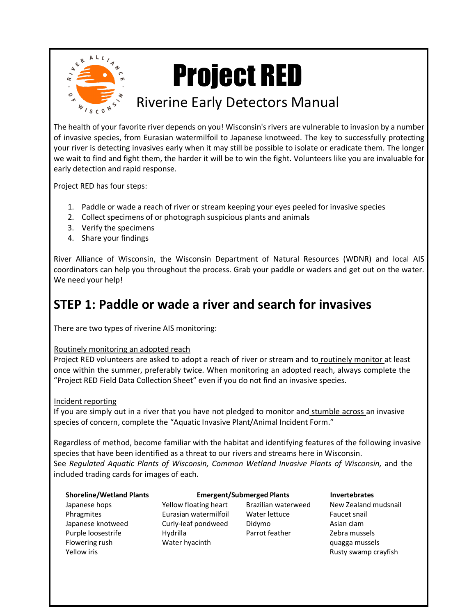

## Project RED

## Riverine Early Detectors Manual

The health of your favorite river depends on you! Wisconsin's rivers are vulnerable to invasion by a number of invasive species, from Eurasian watermilfoil to Japanese knotweed. The key to successfully protecting your river is detecting invasives early when it may still be possible to isolate or eradicate them. The longer we wait to find and fight them, the harder it will be to win the fight. Volunteers like you are invaluable for early detection and rapid response.

Project RED has four steps:

- 1. Paddle or wade a reach of river or stream keeping your eyes peeled for invasive species
- 2. Collect specimens of or photograph suspicious plants and animals
- 3. Verify the specimens
- 4. Share your findings

River Alliance of Wisconsin, the Wisconsin Department of Natural Resources (WDNR) and local AIS coordinators can help you throughout the process. Grab your paddle or waders and get out on the water. We need your help!

## **STEP 1: Paddle or wade a river and search for invasives**

There are two types of riverine AIS monitoring:

#### Routinely monitoring an adopted reach

Project RED volunteers are asked to adopt a reach of river or stream and to routinely monitor at least once within the summer, preferably twice. When monitoring an adopted reach, always complete the "Project RED Field Data Collection Sheet" even if you do not find an invasive species.

Incident reporting

If you are simply out in a river that you have not pledged to monitor and stumble across an invasive species of concern, complete the "Aquatic Invasive Plant/Animal Incident Form."

Regardless of method, become familiar with the habitat and identifying features of the following invasive species that have been identified as a threat to our rivers and streams here in Wisconsin. See *Regulated Aquatic Plants of Wisconsin, Common Wetland Invasive Plants of Wisconsin, and the* included trading cards for images of each.

| <b>Shoreline/Wetland Plants</b> | <b>Emergent/Submerged Plants</b> |                     | <b>Invertebrates</b> |
|---------------------------------|----------------------------------|---------------------|----------------------|
| Japanese hops                   | Yellow floating heart            | Brazilian waterweed | New Zealand mudsnail |
| Phragmites                      | Eurasian watermilfoil            | Water lettuce       | Faucet snail         |
| Japanese knotweed               | Curly-leaf pondweed              | Didymo              | Asian clam           |
| Purple loosestrife              | Hydrilla                         | Parrot feather      | Zebra mussels        |
| Flowering rush                  | Water hyacinth                   |                     | quagga mussels       |
| Yellow iris                     |                                  |                     | Rusty swamp crayfish |
|                                 |                                  |                     |                      |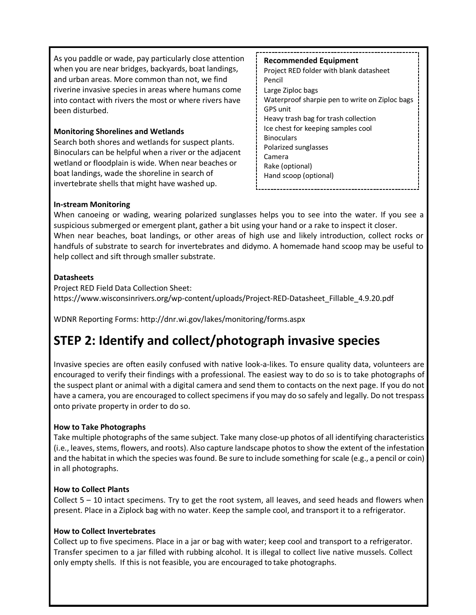As you paddle or wade, pay particularly close attention when you are near bridges, backyards, boat landings, and urban areas. More common than not, we find riverine invasive species in areas where humans come into contact with rivers the most or where rivers have been disturbed.

#### **Monitoring Shorelines and Wetlands**

Search both shores and wetlands for suspect plants. Binoculars can be helpful when a river or the adjacent wetland or floodplain is wide. When near beaches or boat landings, wade the shoreline in search of invertebrate shells that might have washed up.

#### **Recommended Equipment** Project RED folder with blank datasheet Pencil Large Ziploc bags Waterproof sharpie pen to write on Ziploc bags GPS unit Heavy trash bag for trash collection Ice chest for keeping samples cool **Binoculars** Polarized sunglasses Camera Rake (optional) Hand scoop (optional)

#### **In-stream Monitoring**

When canoeing or wading, wearing polarized sunglasses helps you to see into the water. If you see a suspicious submerged or emergent plant, gather a bit using your hand or a rake to inspect it closer. When near beaches, boat landings, or other areas of high use and likely introduction, collect rocks or handfuls of substrate to search for invertebrates and didymo. A homemade hand scoop may be useful to help collect and sift through smaller substrate.

#### **Datasheets**

Project RED Field Data Collection Sheet: https://www.wisconsinrivers.org/wp-content/uploads/Project-RED-Datasheet\_Fillable\_4.9.20.pdf

WDNR Reporting Forms:<http://dnr.wi.gov/lakes/monitoring/forms.aspx>

## **STEP 2: Identify and collect/photograph invasive species**

Invasive species are often easily confused with native look-a-likes. To ensure quality data, volunteers are encouraged to verify their findings with a professional. The easiest way to do so is to take photographs of the suspect plant or animal with a digital camera and send them to contacts on the next page. If you do not have a camera, you are encouraged to collect specimens if you may do so safely and legally. Do not trespass onto private property in order to do so.

#### **How to Take Photographs**

Take multiple photographs of the same subject. Take many close-up photos of all identifying characteristics (i.e., leaves, stems, flowers, and roots). Also capture landscape photos to show the extent of the infestation and the habitat in which the species was found. Be sure to include something for scale (e.g., a pencil or coin) in all photographs.

#### **How to Collect Plants**

Collect  $5 - 10$  intact specimens. Try to get the root system, all leaves, and seed heads and flowers when present. Place in a Ziplock bag with no water. Keep the sample cool, and transport it to a refrigerator.

#### **How to Collect Invertebrates**

Collect up to five specimens. Place in a jar or bag with water; keep cool and transport to a refrigerator. Transfer specimen to a jar filled with rubbing alcohol. It is illegal to collect live native mussels. Collect only empty shells. If this is not feasible, you are encouraged to take photographs.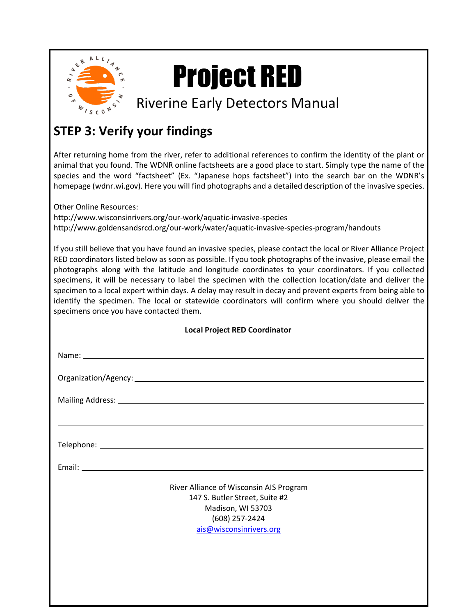

## Project RED

## Riverine Early Detectors Manual

## **STEP 3: Verify your findings**

After returning home from the river, refer to additional references to confirm the identity of the plant or animal that you found. The WDNR online factsheets are a good place to start. Simply type the name of the species and the word "factsheet" (Ex. "Japanese hops factsheet") into the search bar on the WDNR's homepage (wdnr.wi.gov). Here you will find photographs and a detailed description of the invasive species.

Other Online Resources:

<http://www.wisconsinrivers.org/our-work/aquatic-invasive-species> <http://www.goldensandsrcd.org/our-work/water/aquatic-invasive-species-program/handouts>

If you still believe that you have found an invasive species, please contact the local or River Alliance Project RED coordinators listed below as soon as possible. If you took photographs of the invasive, please email the photographs along with the latitude and longitude coordinates to your coordinators. If you collected specimens, it will be necessary to label the specimen with the collection location/date and deliver the specimen to a local expert within days. A delay may result in decay and prevent experts from being able to identify the specimen. The local or statewide coordinators will confirm where you should deliver the specimens once you have contacted them.

| <b>Local Project RED Coordinator</b>                                             |  |  |  |
|----------------------------------------------------------------------------------|--|--|--|
|                                                                                  |  |  |  |
|                                                                                  |  |  |  |
|                                                                                  |  |  |  |
| ,我们也不会有什么。""我们的人,我们也不会有什么?""我们的人,我们也不会有什么?""我们的人,我们也不会有什么?""我们的人,我们也不会有什么?""我们的人 |  |  |  |
|                                                                                  |  |  |  |
|                                                                                  |  |  |  |
| River Alliance of Wisconsin AIS Program                                          |  |  |  |
| 147 S. Butler Street, Suite #2                                                   |  |  |  |
| Madison, WI 53703                                                                |  |  |  |
| (608) 257-2424                                                                   |  |  |  |
| ais@wisconsinrivers.org                                                          |  |  |  |
|                                                                                  |  |  |  |
|                                                                                  |  |  |  |
|                                                                                  |  |  |  |
|                                                                                  |  |  |  |
|                                                                                  |  |  |  |
|                                                                                  |  |  |  |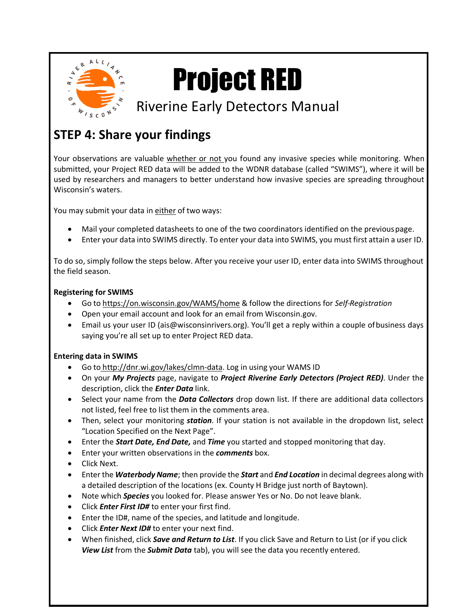

# Project RED

## Riverine Early Detectors Manual

## **STEP 4: Share your findings**

Your observations are valuable whether or not you found any invasive species while monitoring. When submitted, your Project RED data will be added to the WDNR database (called "SWIMS"), where it will be used by researchers and managers to better understand how invasive species are spreading throughout Wisconsin's waters.

You may submit your data in either of two ways:

- Mail your completed datasheets to one of the two coordinators identified on the previouspage.
- Enter your data into SWIMS directly. To enter your data into SWIMS, you must first attain a user ID.

To do so, simply follow the steps below. After you receive your user ID, enter data into SWIMS throughout the field season.

#### **Registering for SWIMS**

- Go to https://on.wisconsin.gov/WAMS/home & follow the directions for *Self-Registration*
- Open your email account and look for an email from Wisconsin.gov.
- Email us your user ID (ais@wisconsinrivers.org). You'll get a reply within a couple of business days saying you're all set up to enter Project RED data.

#### **Entering data in SWIMS**

- Go to [http://dnr.wi.gov/lakes/clmn-data. L](http://dnr.wi.gov/lakes/clmn-data)og in using your WAMS ID
- On your *My Projects* page, navigate to *Project Riverine Early Detectors (Project RED)*. Under the description, click the *Enter Data* link.
- Select your name from the *Data Collectors* drop down list. If there are additional data collectors not listed, feel free to list them in the comments area.
- Then, select your monitoring *station*. If your station is not available in the dropdown list, select "Location Specified on the Next Page".
- Enter the *Start Date, End Date,* and *Time* you started and stopped monitoring that day.
- Enter your written observations in the *comments* box.
- Click Next.
- Enter the *Waterbody Name*; then provide the *Start* and *End Location* in decimal degrees along with a detailed description of the locations (ex. County H Bridge just north of Baytown).
- Note which *Species* you looked for. Please answer Yes or No. Do not leave blank.
- Click *Enter First ID#* to enter your first find.
- Enter the ID#, name of the species, and latitude and longitude.
- Click *Enter Next ID#* to enter your next find.
- When finished, click *Save and Return to List*. If you click Save and Return to List (or if you click *View List* from the *Submit Data* tab), you will see the data you recently entered.